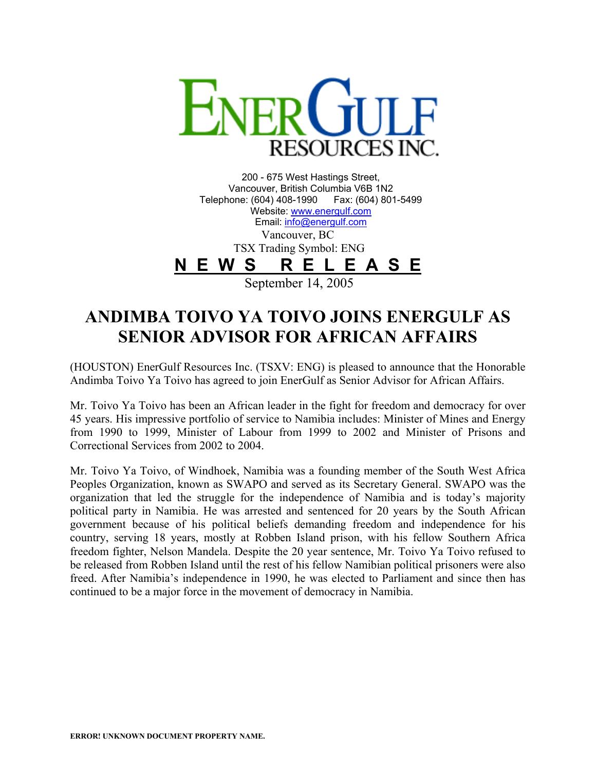

200 - 675 West Hastings Street, Vancouver, British Columbia V6B 1N2 Telephone: (604) 408-1990 Fax: (604) 801-5499 Website: [www.energulf.com](http://www.energulf.com/) Email: [info@energulf.com](mailto:info@energulf.com) Vancouver, BC TSX Trading Symbol: ENG **N E W S R E L E A S E**

September 14, 2005

## **ANDIMBA TOIVO YA TOIVO JOINS ENERGULF AS SENIOR ADVISOR FOR AFRICAN AFFAIRS**

(HOUSTON) EnerGulf Resources Inc. (TSXV: ENG) is pleased to announce that the Honorable Andimba Toivo Ya Toivo has agreed to join EnerGulf as Senior Advisor for African Affairs.

Mr. Toivo Ya Toivo has been an African leader in the fight for freedom and democracy for over 45 years. His impressive portfolio of service to Namibia includes: Minister of Mines and Energy from 1990 to 1999, Minister of Labour from 1999 to 2002 and Minister of Prisons and Correctional Services from 2002 to 2004.

Mr. Toivo Ya Toivo, of Windhoek, Namibia was a founding member of the South West Africa Peoples Organization, known as SWAPO and served as its Secretary General. SWAPO was the organization that led the struggle for the independence of Namibia and is today's majority political party in Namibia. He was arrested and sentenced for 20 years by the South African government because of his political beliefs demanding freedom and independence for his country, serving 18 years, mostly at Robben Island prison, with his fellow Southern Africa freedom fighter, Nelson Mandela. Despite the 20 year sentence, Mr. Toivo Ya Toivo refused to be released from Robben Island until the rest of his fellow Namibian political prisoners were also freed. After Namibia's independence in 1990, he was elected to Parliament and since then has continued to be a major force in the movement of democracy in Namibia.